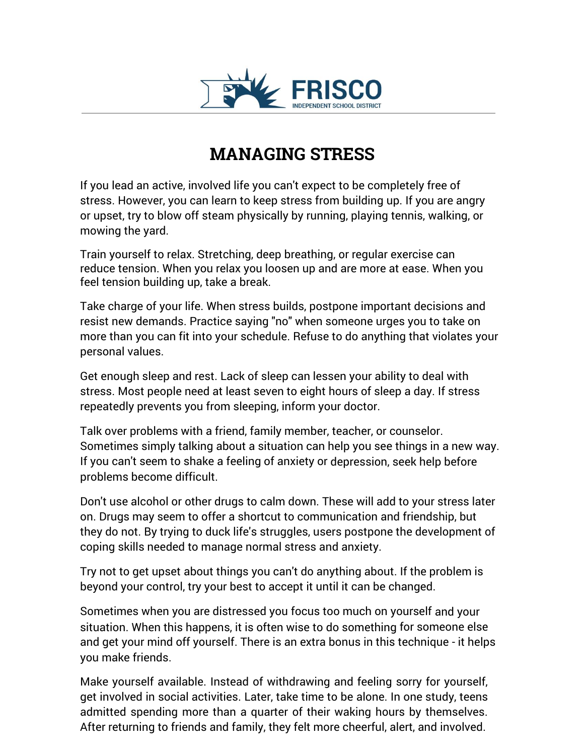

## **MANAGING STRESS**

If you lead an active, involved life you can't expect to be completely free of stress. However, you can learn to keep stress from building up. If you are angry or upset, try to blow off steam physically by running, playing tennis, walking, or mowing the yard.

Train yourself to relax. Stretching, deep breathing, or regular exercise can reduce tension. When you relax you loosen up and are more at ease. When you feel tension building up, take a break.

Take charge of your life. When stress builds, postpone important decisions and resist new demands. Practice saying "no" when someone urges you to take on more than you can fit into your schedule. Refuse to do anything that violates your personal values.

Get enough sleep and rest. Lack of sleep can lessen your ability to deal with stress. Most people need at least seven to eight hours of sleep a day. If stress repeatedly prevents you from sleeping, inform your doctor.

Talk over problems with a friend, family member, teacher, or counselor. Sometimes simply talking about a situation can help you see things in a new way. If you can't seem to shake a feeling of anxiety or depression, seek help before problems become difficult.

Don't use alcohol or other drugs to calm down. These will add to your stress later on. Drugs may seem to offer a shortcut to communication and friendship, but they do not. By trying to duck life's struggles, users postpone the development of coping skills needed to manage normal stress and anxiety.

Try not to get upset about things you can't do anything about. If the problem is beyond your control, try your best to accept it until it can be changed.

Sometimes when you are distressed you focus too much on yourself and your situation. When this happens, it is often wise to do something for someone else and get your mind off yourself. There is an extra bonus in this technique - it helps you make friends.

Make yourself available. Instead of withdrawing and feeling sorry for yourself, get involved in social activities. Later, take time to be alone. In one study, teens admitted spending more than a quarter of their waking hours by themselves. After returning to friends and family, they felt more cheerful, alert, and involved.